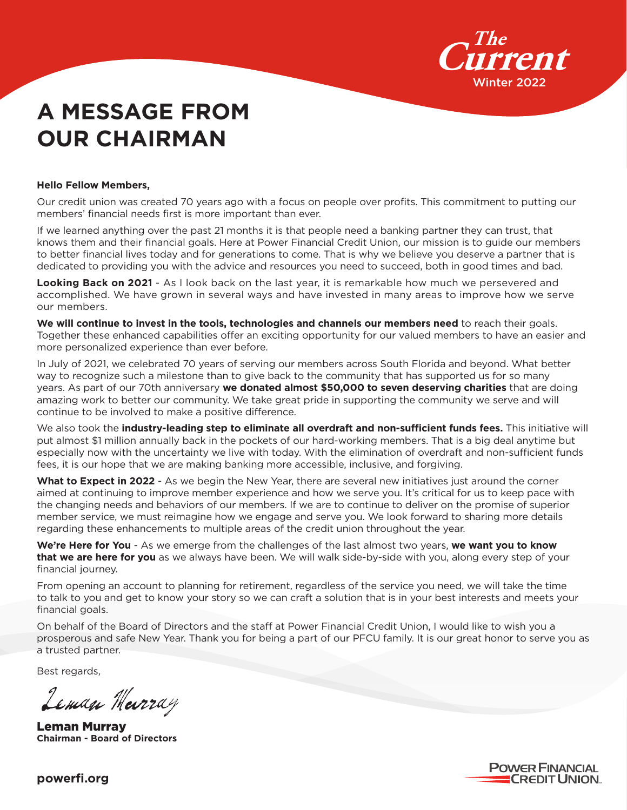

# **A MESSAGE FROM OUR CHAIRMAN**

#### **Hello Fellow Members,**

Our credit union was created 70 years ago with a focus on people over profits. This commitment to putting our members' financial needs first is more important than ever.

If we learned anything over the past 21 months it is that people need a banking partner they can trust, that knows them and their financial goals. Here at Power Financial Credit Union, our mission is to guide our members to better financial lives today and for generations to come. That is why we believe you deserve a partner that is dedicated to providing you with the advice and resources you need to succeed, both in good times and bad.

**Looking Back on 2021** - As I look back on the last year, it is remarkable how much we persevered and accomplished. We have grown in several ways and have invested in many areas to improve how we serve our members.

**We will continue to invest in the tools, technologies and channels our members need** to reach their goals. Together these enhanced capabilities offer an exciting opportunity for our valued members to have an easier and more personalized experience than ever before.

In July of 2021, we celebrated 70 years of serving our members across South Florida and beyond. What better way to recognize such a milestone than to give back to the community that has supported us for so many years. As part of our 70th anniversary **we donated almost \$50,000 to seven deserving charities** that are doing amazing work to better our community. We take great pride in supporting the community we serve and will continue to be involved to make a positive difference.

We also took the **industry-leading step to eliminate all overdraft and non-sufficient funds fees.** This initiative will put almost \$1 million annually back in the pockets of our hard-working members. That is a big deal anytime but especially now with the uncertainty we live with today. With the elimination of overdraft and non-sufficient funds fees, it is our hope that we are making banking more accessible, inclusive, and forgiving.

**What to Expect in 2022** - As we begin the New Year, there are several new initiatives just around the corner aimed at continuing to improve member experience and how we serve you. It's critical for us to keep pace with the changing needs and behaviors of our members. If we are to continue to deliver on the promise of superior member service, we must reimagine how we engage and serve you. We look forward to sharing more details regarding these enhancements to multiple areas of the credit union throughout the year.

**We're Here for You** - As we emerge from the challenges of the last almost two years, **we want you to know that we are here for you** as we always have been. We will walk side-by-side with you, along every step of your financial journey.

From opening an account to planning for retirement, regardless of the service you need, we will take the time to talk to you and get to know your story so we can craft a solution that is in your best interests and meets your financial goals.

On behalf of the Board of Directors and the staff at Power Financial Credit Union, I would like to wish you a prosperous and safe New Year. Thank you for being a part of our PFCU family. It is our great honor to serve you as a trusted partner.

Best regards,

Leman Meerray

Leman Murray **Chairman - Board of Directors**

**POWER FINANCIAL CREDIT UNION.** 

**powerfi.org**